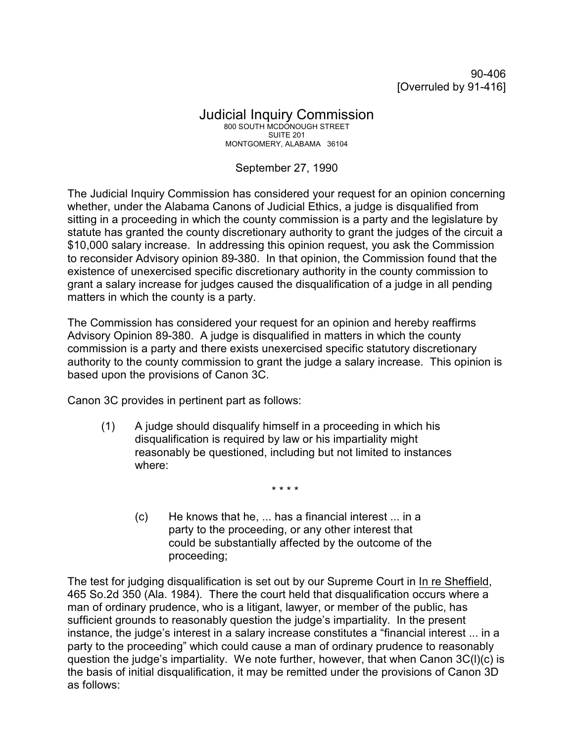90-406 [Overruled by 91-416]

## Judicial Inquiry Commission 800 SOUTH MCDONOUGH STREET SUITE 201 MONTGOMERY, ALABAMA 36104

## September 27, 1990

The Judicial Inquiry Commission has considered your request for an opinion concerning whether, under the Alabama Canons of Judicial Ethics, a judge is disqualified from sitting in a proceeding in which the county commission is a party and the legislature by statute has granted the county discretionary authority to grant the judges of the circuit a \$10,000 salary increase. In addressing this opinion request, you ask the Commission to reconsider Advisory opinion 89-380. In that opinion, the Commission found that the existence of unexercised specific discretionary authority in the county commission to grant a salary increase for judges caused the disqualification of a judge in all pending matters in which the county is a party.

The Commission has considered your request for an opinion and hereby reaffirms Advisory Opinion 89-380. A judge is disqualified in matters in which the county commission is a party and there exists unexercised specific statutory discretionary authority to the county commission to grant the judge a salary increase. This opinion is based upon the provisions of Canon 3C.

Canon 3C provides in pertinent part as follows:

(1) A judge should disqualify himself in a proceeding in which his disqualification is required by law or his impartiality might reasonably be questioned, including but not limited to instances where:

\* \* \* \*

(c) He knows that he, ... has a financial interest ... in a party to the proceeding, or any other interest that could be substantially affected by the outcome of the proceeding;

The test for judging disqualification is set out by our Supreme Court in In re Sheffield, 465 So.2d 350 (Ala. 1984). There the court held that disqualification occurs where a man of ordinary prudence, who is a litigant, lawyer, or member of the public, has sufficient grounds to reasonably question the judge's impartiality. In the present instance, the judge's interest in a salary increase constitutes a "financial interest ... in a party to the proceeding" which could cause a man of ordinary prudence to reasonably question the judge's impartiality. We note further, however, that when Canon 3C(l)(c) is the basis of initial disqualification, it may be remitted under the provisions of Canon 3D as follows: